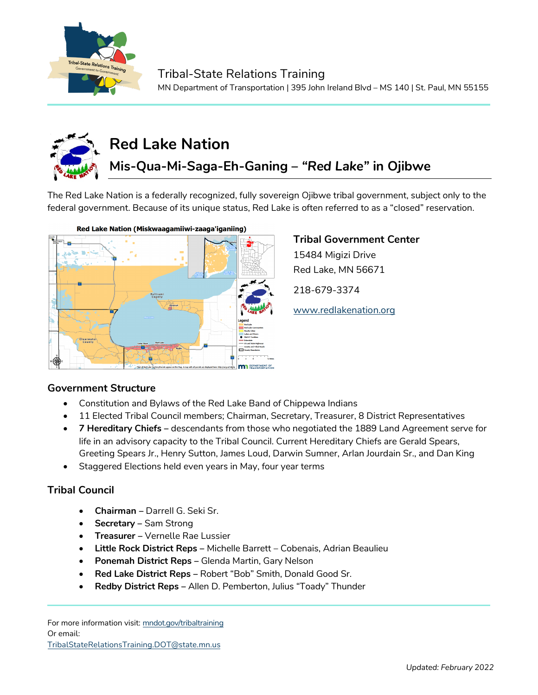



# **Red Lake Nation**

## **Mis-Qua-Mi-Saga-Eh-Ganing –** *"Red Lake"* **in Ojibwe**

The Red Lake Nation is a federally recognized, fully sovereign Ojibwe tribal government, subject only to the federal government. Because of its unique status, Red Lake is often referred to as a "closed" reservation.



#### **Tribal Government Center**

15484 Migizi Drive Red Lake, MN 56671

218-679-3374

[www.redlakenation.org](http://www.redlakenation.org/)

#### **Government Structure**

- Constitution and Bylaws of the Red Lake Band of Chippewa Indians
- 11 Elected Tribal Council members; Chairman, Secretary, Treasurer, 8 District Representatives
- **7 Hereditary Chiefs –** descendants from those who negotiated the 1889 Land Agreement serve for life in an advisory capacity to the Tribal Council. Current Hereditary Chiefs are Gerald Spears, Greeting Spears Jr., Henry Sutton, James Loud, Darwin Sumner, Arlan Jourdain Sr., and Dan King
- Staggered Elections held even years in May, four year terms

### **Tribal Council**

- **Chairman –** Darrell G. Seki Sr.
- **Secretary** Sam Strong
- **Treasurer –** Vernelle Rae Lussier
- **Little Rock District Reps** Michelle Barrett Cobenais, Adrian Beaulieu
- **Ponemah District Reps –** Glenda Martin, Gary Nelson
- **Red Lake District Reps –** Robert "Bob" Smith, Donald Good Sr.
- **Redby District Reps –** Allen D. Pemberton, Julius "Toady" Thunder